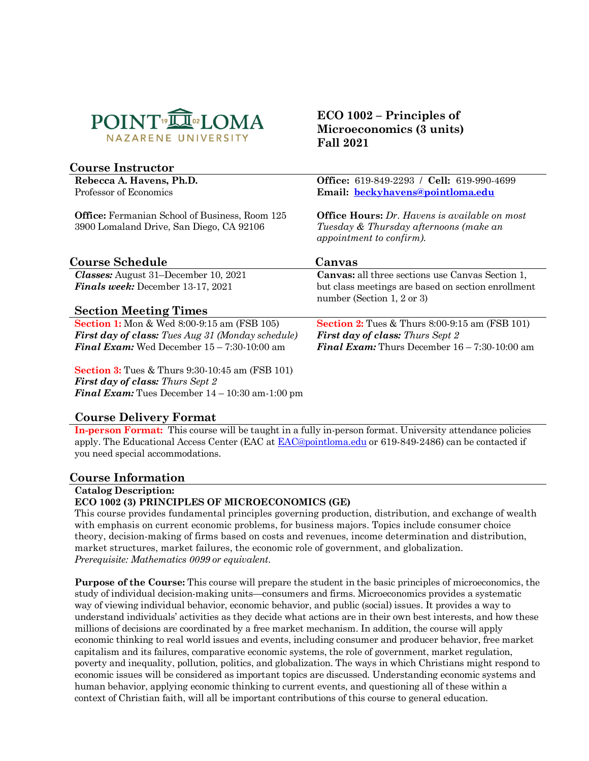

# **Course Instructor**

**Rebecca A. Havens, Ph.D.** Professor of Economics

**Office:** Fermanian School of Business, Room 125 3900 Lomaland Drive, San Diego, CA 92106

**ECO 1002 – Principles of Microeconomics (3 units) Fall 2021**

**Office:** 619-849-2293 / **Cell:** 619-990-4699 **Email: [beckyhavens@pointloma.edu](mailto:beckyhavens@pointloma.edu)**

**Office Hours:** *Dr. Havens is available on most Tuesday & Thursday afternoons (make an appointment to confirm).*

# **Course Schedule Canvas**

*Classes:* August 31–December 10, 2021 *Finals week:* December 13-17, 2021

# **Section Meeting Times**

**Section 1:** Mon & Wed 8:00-9:15 am (FSB 105) *First day of class: Tues Aug 31 (Monday schedule) Final Exam:* Wed December 15 – 7:30-10:00 am

**Section 3:** Tues & Thurs 9:30-10:45 am (FSB 101) *First day of class: Thurs Sept 2 Final Exam:* Tues December 14 – 10:30 am-1:00 pm

**Canvas:** all three sections use Canvas Section 1, but class meetings are based on section enrollment number (Section 1, 2 or 3)

**Section 2:** Tues & Thurs 8:00-9:15 am (FSB 101) *First day of class: Thurs Sept 2 Final Exam:* Thurs December 16 – 7:30-10:00 am

## **Course Delivery Format**

**In-person Format:** This course will be taught in a fully in-person format. University attendance policies apply. The Educational Access Center (EAC at **EAC@pointloma.edu** or 619-849-2486) can be contacted if you need special accommodations.

#### **Course Information**

**Catalog Description:** 

#### **ECO 1002 (3) PRINCIPLES OF MICROECONOMICS (GE)**

This course provides fundamental principles governing production, distribution, and exchange of wealth with emphasis on current economic problems, for business majors. Topics include consumer choice theory, decision-making of firms based on costs and revenues, income determination and distribution, market structures, market failures, the economic role of government, and globalization. *Prerequisite: Mathematics 0099 or equivalent.*

**Purpose of the Course:** This course will prepare the student in the basic principles of microeconomics, the study of individual decision-making units—consumers and firms. Microeconomics provides a systematic way of viewing individual behavior, economic behavior, and public (social) issues. It provides a way to understand individuals' activities as they decide what actions are in their own best interests, and how these millions of decisions are coordinated by a free market mechanism. In addition, the course will apply economic thinking to real world issues and events, including consumer and producer behavior, free market capitalism and its failures, comparative economic systems, the role of government, market regulation, poverty and inequality, pollution, politics, and globalization. The ways in which Christians might respond to economic issues will be considered as important topics are discussed. Understanding economic systems and human behavior, applying economic thinking to current events, and questioning all of these within a context of Christian faith, will all be important contributions of this course to general education.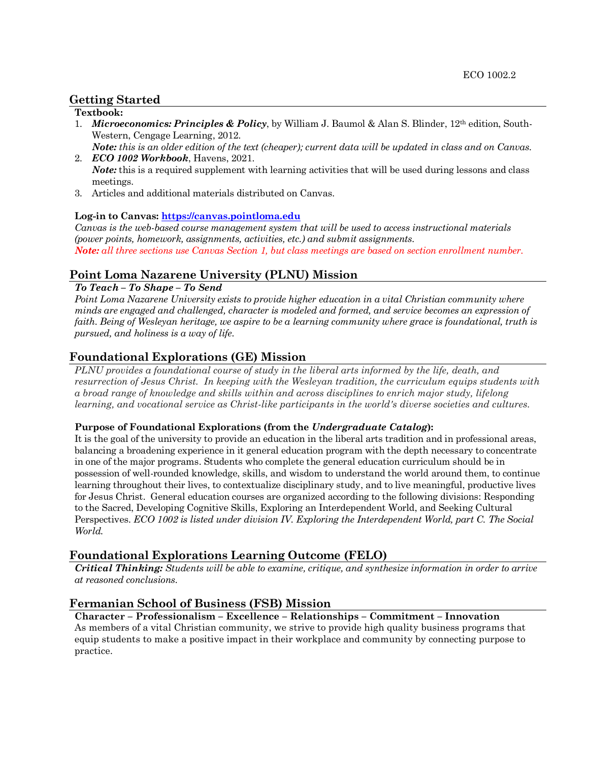## **Getting Started**

### **Textbook:**

- 1. *Microeconomics: Principles & Policy*, by William J. Baumol & Alan S. Blinder, 12th edition, South-Western, Cengage Learning, 2012.
- *Note: this is an older edition of the text (cheaper); current data will be updated in class and on Canvas.* 2. *ECO 1002 Workbook*, Havens, 2021.
- *Note*: this is a required supplement with learning activities that will be used during lessons and class meetings.
- 3. Articles and additional materials distributed on Canvas.

#### **Log-in to Canvas: [https://canvas.pointloma.edu](https://canvas.pointloma.edu/)**

*Canvas is the web-based course management system that will be used to access instructional materials (power points, homework, assignments, activities, etc.) and submit assignments. Note: all three sections use Canvas Section 1, but class meetings are based on section enrollment number.*

## **Point Loma Nazarene University (PLNU) Mission**

#### *To Teach – To Shape – To Send*

*Point Loma Nazarene University exists to provide higher education in a vital Christian community where minds are engaged and challenged, character is modeled and formed, and service becomes an expression of faith. Being of Wesleyan heritage, we aspire to be a learning community where grace is foundational, truth is pursued, and holiness is a way of life.*

## **Foundational Explorations (GE) Mission**

*PLNU provides a foundational course of study in the liberal arts informed by the life, death, and resurrection of Jesus Christ. In keeping with the Wesleyan tradition, the curriculum equips students with a broad range of knowledge and skills within and across disciplines to enrich major study, lifelong learning, and vocational service as Christ-like participants in the world's diverse societies and cultures.*

#### **Purpose of Foundational Explorations (from the** *Undergraduate Catalog***):**

It is the goal of the university to provide an education in the liberal arts tradition and in professional areas, balancing a broadening experience in it general education program with the depth necessary to concentrate in one of the major programs. Students who complete the general education curriculum should be in possession of well-rounded knowledge, skills, and wisdom to understand the world around them, to continue learning throughout their lives, to contextualize disciplinary study, and to live meaningful, productive lives for Jesus Christ. General education courses are organized according to the following divisions: Responding to the Sacred, Developing Cognitive Skills, Exploring an Interdependent World, and Seeking Cultural Perspectives. *ECO 1002 is listed under division IV. Exploring the Interdependent World, part C. The Social World.*

## **Foundational Explorations Learning Outcome (FELO)**

*Critical Thinking: Students will be able to examine, critique, and synthesize information in order to arrive at reasoned conclusions.*

#### **Fermanian School of Business (FSB) Mission**

**Character – Professionalism – Excellence – Relationships – Commitment – Innovation** As members of a vital Christian community, we strive to provide high quality business programs that equip students to make a positive impact in their workplace and community by connecting purpose to practice.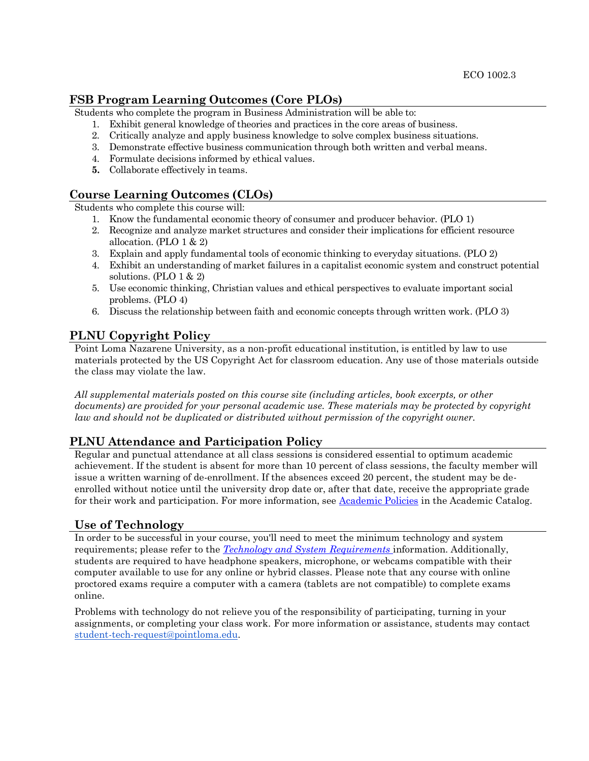## **FSB Program Learning Outcomes (Core PLOs)**

Students who complete the program in Business Administration will be able to:

- 1. Exhibit general knowledge of theories and practices in the core areas of business.
- 2. Critically analyze and apply business knowledge to solve complex business situations.
- 3. Demonstrate effective business communication through both written and verbal means.
- 4. Formulate decisions informed by ethical values.
- **5.** Collaborate effectively in teams.

# **Course Learning Outcomes (CLOs)**

Students who complete this course will:

- 1. Know the fundamental economic theory of consumer and producer behavior. (PLO 1)
- 2. Recognize and analyze market structures and consider their implications for efficient resource allocation. (PLO  $1 \& 2$ )
- 3. Explain and apply fundamental tools of economic thinking to everyday situations. (PLO 2)
- 4. Exhibit an understanding of market failures in a capitalist economic system and construct potential solutions. (PLO 1 & 2)
- 5. Use economic thinking, Christian values and ethical perspectives to evaluate important social problems. (PLO 4)
- 6. Discuss the relationship between faith and economic concepts through written work. (PLO 3)

# **PLNU Copyright Policy**

Point Loma Nazarene University, as a non-profit educational institution, is entitled by law to use materials protected by the US Copyright Act for classroom education. Any use of those materials outside the class may violate the law.

*All supplemental materials posted on this course site (including articles, book excerpts, or other documents) are provided for your personal academic use. These materials may be protected by copyright law and should not be duplicated or distributed without permission of the copyright owner.*

# **PLNU Attendance and Participation Policy**

Regular and punctual attendance at all class sessions is considered essential to optimum academic achievement. If the student is absent for more than 10 percent of class sessions, the faculty member will issue a written warning of de-enrollment. If the absences exceed 20 percent, the student may be deenrolled without notice until the university drop date or, after that date, receive the appropriate grade for their work and participation. For more information, see [Academic Policies](https://catalog.pointloma.edu/content.php?catoid=52&navoid=2919) in the Academic Catalog.

# **Use of Technology**

In order to be successful in your course, you'll need to meet the minimum technology and system requirements; please refer to the *[Technology and System Requirements](https://help.pointloma.edu/TDClient/1808/Portal/KB/ArticleDet?ID=108349)* information. Additionally, students are required to have headphone speakers, microphone, or webcams compatible with their computer available to use for any online or hybrid classes. Please note that any course with online proctored exams require a computer with a camera (tablets are not compatible) to complete exams online.

Problems with technology do not relieve you of the responsibility of participating, turning in your assignments, or completing your class work. For more information or assistance, students may contact [student-tech-request@pointloma.edu.](mailto:student-tech-request@pointloma.edu)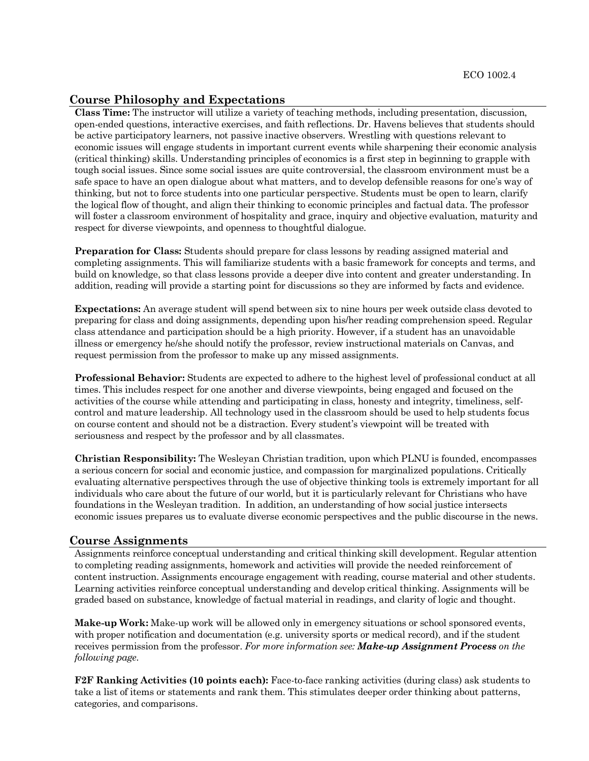### **Course Philosophy and Expectations**

**Class Time:** The instructor will utilize a variety of teaching methods, including presentation, discussion, open-ended questions, interactive exercises, and faith reflections. Dr. Havens believes that students should be active participatory learners, not passive inactive observers. Wrestling with questions relevant to economic issues will engage students in important current events while sharpening their economic analysis (critical thinking) skills. Understanding principles of economics is a first step in beginning to grapple with tough social issues. Since some social issues are quite controversial, the classroom environment must be a safe space to have an open dialogue about what matters, and to develop defensible reasons for one's way of thinking, but not to force students into one particular perspective. Students must be open to learn, clarify the logical flow of thought, and align their thinking to economic principles and factual data. The professor will foster a classroom environment of hospitality and grace, inquiry and objective evaluation, maturity and respect for diverse viewpoints, and openness to thoughtful dialogue.

**Preparation for Class:** Students should prepare for class lessons by reading assigned material and completing assignments. This will familiarize students with a basic framework for concepts and terms, and build on knowledge, so that class lessons provide a deeper dive into content and greater understanding. In addition, reading will provide a starting point for discussions so they are informed by facts and evidence.

**Expectations:** An average student will spend between six to nine hours per week outside class devoted to preparing for class and doing assignments, depending upon his/her reading comprehension speed. Regular class attendance and participation should be a high priority. However, if a student has an unavoidable illness or emergency he/she should notify the professor, review instructional materials on Canvas, and request permission from the professor to make up any missed assignments.

**Professional Behavior:** Students are expected to adhere to the highest level of professional conduct at all times. This includes respect for one another and diverse viewpoints, being engaged and focused on the activities of the course while attending and participating in class, honesty and integrity, timeliness, selfcontrol and mature leadership. All technology used in the classroom should be used to help students focus on course content and should not be a distraction. Every student's viewpoint will be treated with seriousness and respect by the professor and by all classmates.

**Christian Responsibility:** The Wesleyan Christian tradition, upon which PLNU is founded, encompasses a serious concern for social and economic justice, and compassion for marginalized populations. Critically evaluating alternative perspectives through the use of objective thinking tools is extremely important for all individuals who care about the future of our world, but it is particularly relevant for Christians who have foundations in the Wesleyan tradition. In addition, an understanding of how social justice intersects economic issues prepares us to evaluate diverse economic perspectives and the public discourse in the news.

#### **Course Assignments**

Assignments reinforce conceptual understanding and critical thinking skill development. Regular attention to completing reading assignments, homework and activities will provide the needed reinforcement of content instruction. Assignments encourage engagement with reading, course material and other students. Learning activities reinforce conceptual understanding and develop critical thinking. Assignments will be graded based on substance, knowledge of factual material in readings, and clarity of logic and thought.

**Make-up Work:** Make-up work will be allowed only in emergency situations or school sponsored events, with proper notification and documentation (e.g. university sports or medical record), and if the student receives permission from the professor. *For more information see: Make-up Assignment Process on the following page.*

**F2F Ranking Activities (10 points each):** Face-to-face ranking activities (during class) ask students to take a list of items or statements and rank them. This stimulates deeper order thinking about patterns, categories, and comparisons.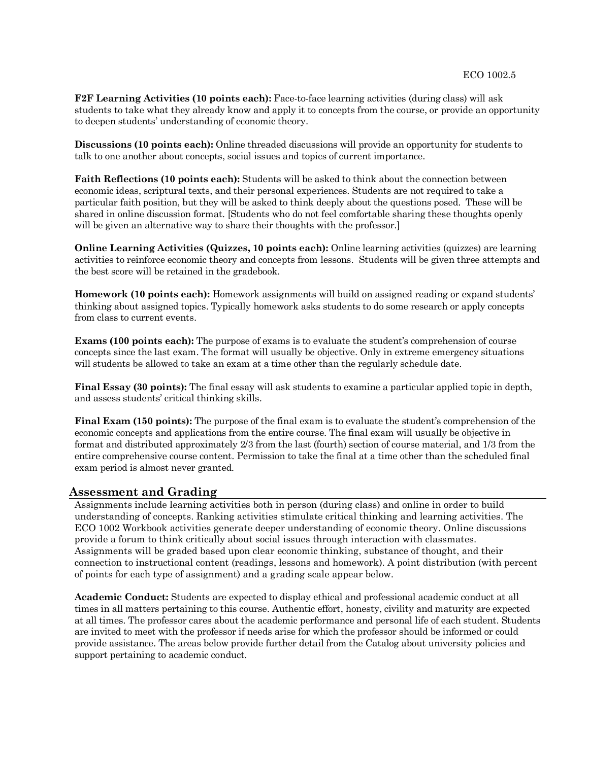**F2F Learning Activities (10 points each):** Face-to-face learning activities (during class) will ask students to take what they already know and apply it to concepts from the course, or provide an opportunity to deepen students' understanding of economic theory.

**Discussions (10 points each):** Online threaded discussions will provide an opportunity for students to talk to one another about concepts, social issues and topics of current importance.

**Faith Reflections (10 points each):** Students will be asked to think about the connection between economic ideas, scriptural texts, and their personal experiences. Students are not required to take a particular faith position, but they will be asked to think deeply about the questions posed. These will be shared in online discussion format. [Students who do not feel comfortable sharing these thoughts openly will be given an alternative way to share their thoughts with the professor.

**Online Learning Activities (Quizzes, 10 points each):** Online learning activities (quizzes) are learning activities to reinforce economic theory and concepts from lessons. Students will be given three attempts and the best score will be retained in the gradebook.

**Homework (10 points each):** Homework assignments will build on assigned reading or expand students' thinking about assigned topics. Typically homework asks students to do some research or apply concepts from class to current events.

**Exams (100 points each):** The purpose of exams is to evaluate the student's comprehension of course concepts since the last exam. The format will usually be objective. Only in extreme emergency situations will students be allowed to take an exam at a time other than the regularly schedule date.

**Final Essay (30 points):** The final essay will ask students to examine a particular applied topic in depth, and assess students' critical thinking skills.

**Final Exam (150 points):** The purpose of the final exam is to evaluate the student's comprehension of the economic concepts and applications from the entire course. The final exam will usually be objective in format and distributed approximately 2/3 from the last (fourth) section of course material, and 1/3 from the entire comprehensive course content. Permission to take the final at a time other than the scheduled final exam period is almost never granted.

#### **Assessment and Grading**

Assignments include learning activities both in person (during class) and online in order to build understanding of concepts. Ranking activities stimulate critical thinking and learning activities. The ECO 1002 Workbook activities generate deeper understanding of economic theory. Online discussions provide a forum to think critically about social issues through interaction with classmates. Assignments will be graded based upon clear economic thinking, substance of thought, and their connection to instructional content (readings, lessons and homework). A point distribution (with percent of points for each type of assignment) and a grading scale appear below.

**Academic Conduct:** Students are expected to display ethical and professional academic conduct at all times in all matters pertaining to this course. Authentic effort, honesty, civility and maturity are expected at all times. The professor cares about the academic performance and personal life of each student. Students are invited to meet with the professor if needs arise for which the professor should be informed or could provide assistance. The areas below provide further detail from the Catalog about university policies and support pertaining to academic conduct.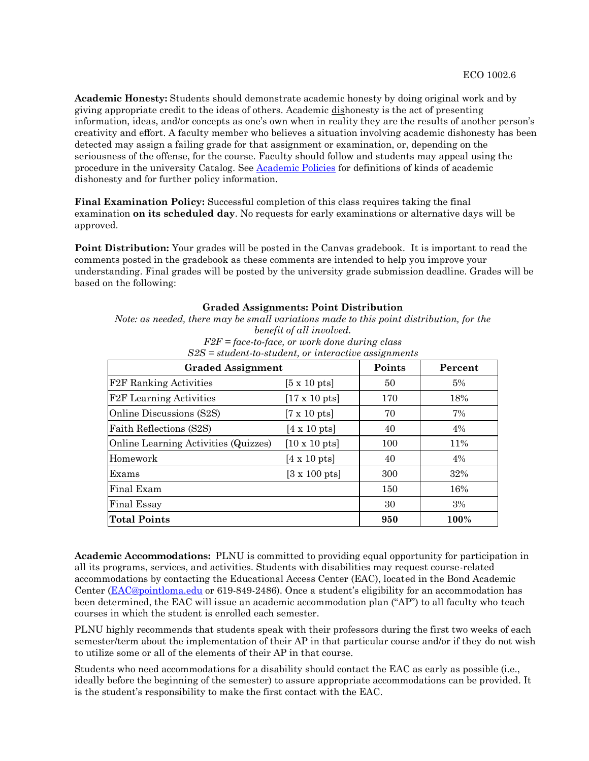**Academic Honesty:** Students should demonstrate academic honesty by doing original work and by giving appropriate credit to the ideas of others. Academic dishonesty is the act of presenting information, ideas, and/or concepts as one's own when in reality they are the results of another person's creativity and effort. A faculty member who believes a situation involving academic dishonesty has been detected may assign a failing grade for that assignment or examination, or, depending on the seriousness of the offense, for the course. Faculty should follow and students may appeal using the procedure in the university Catalog. See [Academic Policies](https://catalog.pointloma.edu/content.php?catoid=52&navoid=2919#Academic_Honesty) for definitions of kinds of academic dishonesty and for further policy information.

**Final Examination Policy:** Successful completion of this class requires taking the final examination **on its scheduled day**. No requests for early examinations or alternative days will be approved.

**Point Distribution:** Your grades will be posted in the Canvas gradebook. It is important to read the comments posted in the gradebook as these comments are intended to help you improve your understanding. Final grades will be posted by the university grade submission deadline. Grades will be based on the following:

#### **Graded Assignments: Point Distribution**

*Note: as needed, there may be small variations made to this point distribution, for the benefit of all involved. F2F = face-to-face, or work done during class*

| <b>Graded Assignment</b>             | Points                       | Percent |       |
|--------------------------------------|------------------------------|---------|-------|
| F2F Ranking Activities               | $[5 \times 10 \text{ pts}]$  | 50      | $5\%$ |
| <b>F2F</b> Learning Activities       | $[17 \times 10 \text{ pts}]$ | 170     | 18%   |
| Online Discussions (S2S)             | $[7 \times 10 \text{ pts}]$  | 70      | 7%    |
| Faith Reflections (S2S)              | $[4 \times 10 \text{ pts}]$  | 40      | $4\%$ |
| Online Learning Activities (Quizzes) | $[10 \times 10 \text{ pts}]$ | 100     | 11%   |
| Homework                             | $[4 \times 10 \text{ pts}]$  | 40      | 4%    |
| Exams                                | $[3 \times 100 \text{ pts}]$ | 300     | 32%   |
| Final Exam                           |                              | 150     | 16%   |
| <b>Final Essay</b>                   |                              | 30      | 3%    |
| <b>Total Points</b>                  |                              | 950     | 100%  |

*S2S = student-to-student, or interactive assignments*

**Academic Accommodations:** PLNU is committed to providing equal opportunity for participation in all its programs, services, and activities. Students with disabilities may request course-related accommodations by contacting the Educational Access Center (EAC), located in the Bond Academic Center [\(EAC@pointloma.edu](mailto:EAC@pointloma.edu) or 619-849-2486). Once a student's eligibility for an accommodation has been determined, the EAC will issue an academic accommodation plan ("AP") to all faculty who teach courses in which the student is enrolled each semester.

PLNU highly recommends that students speak with their professors during the first two weeks of each semester/term about the implementation of their AP in that particular course and/or if they do not wish to utilize some or all of the elements of their AP in that course.

Students who need accommodations for a disability should contact the EAC as early as possible (i.e., ideally before the beginning of the semester) to assure appropriate accommodations can be provided. It is the student's responsibility to make the first contact with the EAC.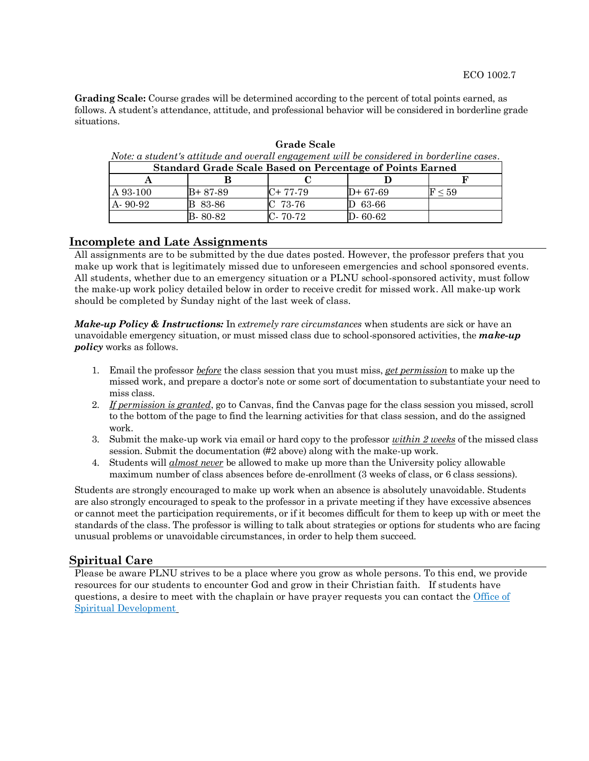**Grading Scale:** Course grades will be determined according to the percent of total points earned, as follows. A student's attendance, attitude, and professional behavior will be considered in borderline grade situations.

**Grade Scale** *Note: a student's attitude and overall engagement will be considered in borderline cases.*

| <b>Standard Grade Scale Based on Percentage of Points Earned</b> |          |          |               |                     |  |  |  |  |
|------------------------------------------------------------------|----------|----------|---------------|---------------------|--|--|--|--|
|                                                                  |          |          |               |                     |  |  |  |  |
| A 93-100                                                         | B+ 87-89 | C+ 77-79 | $D+67-69$     | $\mathrm{F}$ $<$ 59 |  |  |  |  |
| A 90-92                                                          | B 83-86  | C 73-76  | $D$ 63-66     |                     |  |  |  |  |
|                                                                  | B- 80-82 | C-70-72  | $D - 60 - 62$ |                     |  |  |  |  |

## **Incomplete and Late Assignments**

All assignments are to be submitted by the due dates posted. However, the professor prefers that you make up work that is legitimately missed due to unforeseen emergencies and school sponsored events. All students, whether due to an emergency situation or a PLNU school-sponsored activity, must follow the make-up work policy detailed below in order to receive credit for missed work. All make-up work should be completed by Sunday night of the last week of class.

*Make-up Policy & Instructions:* In *extremely rare circumstances* when students are sick or have an unavoidable emergency situation, or must missed class due to school-sponsored activities, the *make-up policy* works as follows.

- 1. Email the professor *before* the class session that you must miss, *get permission* to make up the missed work, and prepare a doctor's note or some sort of documentation to substantiate your need to miss class.
- 2. *If permission is granted*, go to Canvas, find the Canvas page for the class session you missed, scroll to the bottom of the page to find the learning activities for that class session, and do the assigned work.
- 3. Submit the make-up work via email or hard copy to the professor *within 2 weeks* of the missed class session. Submit the documentation (#2 above) along with the make-up work.
- 4. Students will *almost never* be allowed to make up more than the University policy allowable maximum number of class absences before de-enrollment (3 weeks of class, or 6 class sessions).

Students are strongly encouraged to make up work when an absence is absolutely unavoidable. Students are also strongly encouraged to speak to the professor in a private meeting if they have excessive absences or cannot meet the participation requirements, or if it becomes difficult for them to keep up with or meet the standards of the class. The professor is willing to talk about strategies or options for students who are facing unusual problems or unavoidable circumstances, in order to help them succeed.

## **Spiritual Care**

Please be aware PLNU strives to be a place where you grow as whole persons. To this end, we provide resources for our students to encounter God and grow in their Christian faith. If students have questions, a desire to meet with the chaplain or have prayer requests you can contact the Office of [Spiritual Development](https://www.pointloma.edu/offices/spiritual-development)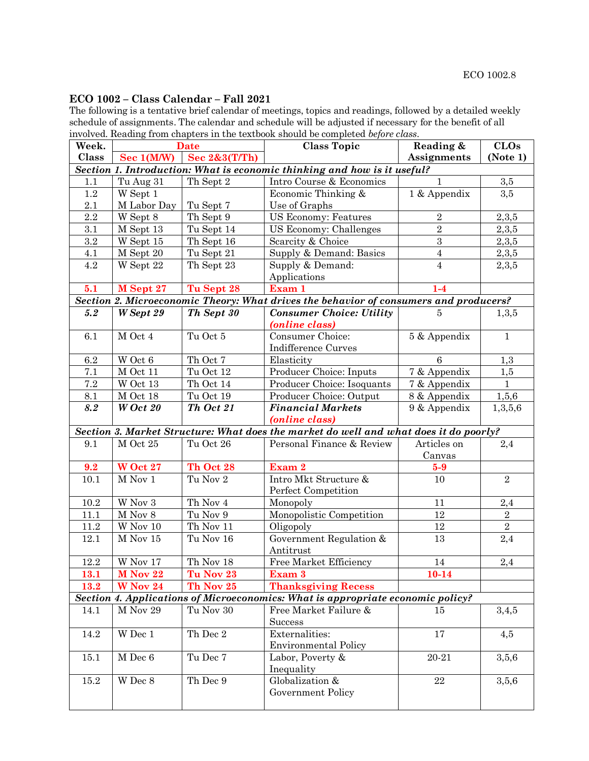# **ECO 1002 – Class Calendar – Fall 2021**

The following is a tentative brief calendar of meetings, topics and readings, followed by a detailed weekly schedule of assignments. The calendar and schedule will be adjusted if necessary for the benefit of all involved. Reading from chapters in the textbook should be completed *before class*.

| Week.     |                  | <b>Date</b>   | <b>Class Topic</b>                                                                    | Reading &          | <b>CLOs</b>      |
|-----------|------------------|---------------|---------------------------------------------------------------------------------------|--------------------|------------------|
| Class     | Sec 1(M/W)       | Sec 2&3(T/Th) |                                                                                       | <b>Assignments</b> | (Note 1)         |
|           |                  |               | Section 1. Introduction: What is economic thinking and how is it useful?              |                    |                  |
| 1.1       | Tu Aug 31        | Th Sept 2     | Intro Course & Economics                                                              | $\mathbf{1}$       | $\overline{3,5}$ |
| $1.2\,$   | W Sept 1         |               | Economic Thinking &                                                                   | 1 & Appendix       | 3,5              |
| 2.1       | M Labor Day      | Tu Sept 7     | Use of Graphs                                                                         |                    |                  |
| 2.2       | W Sept 8         | Th Sept 9     | <b>US Economy: Features</b>                                                           | $\overline{2}$     | 2,3,5            |
| 3.1       | M Sept 13        | Tu Sept 14    | US Economy: Challenges                                                                | $\overline{2}$     | 2,3,5            |
| $\rm 3.2$ | W Sept 15        | Th Sept 16    | Scarcity & Choice                                                                     | $\,3$              | 2,3,5            |
| 4.1       | M Sept 20        | Tu Sept 21    | Supply & Demand: Basics                                                               | $\overline{4}$     | 2,3,5            |
| 4.2       | W Sept 22        | Th Sept 23    | Supply & Demand:<br>Applications                                                      | $\overline{4}$     | 2,3,5            |
| 5.1       | M Sept 27        | Tu Sept 28    | Exam 1                                                                                | $1-4$              |                  |
|           |                  |               | Section 2. Microeconomic Theory: What drives the behavior of consumers and producers? |                    |                  |
| 5.2       | <b>W</b> Sept 29 | Th Sept 30    | <b>Consumer Choice: Utility</b>                                                       | 5                  | 1,3,5            |
|           |                  | Tu Oct 5      | (online class)                                                                        |                    |                  |
| 6.1       | M Oct 4          |               | Consumer Choice:<br>Indifference Curves                                               | 5 & Appendix       | $\mathbf{1}$     |
| 6.2       | W Oct 6          | Th Oct 7      | Elasticity                                                                            | $6\phantom{1}6$    | 1,3              |
| 7.1       | M Oct 11         | Tu Oct 12     | Producer Choice: Inputs                                                               | 7 & Appendix       | 1,5              |
| 7.2       | $\rm W$ Oct 13   | Th Oct 14     | Producer Choice: Isoquants                                                            | 7 & Appendix       | $\mathbf{1}$     |
| 8.1       | M Oct 18         | Tu Oct 19     | Producer Choice: Output                                                               | 8 & Appendix       | 1,5,6            |
| 8.2       | $W$ Oct 20       | Th Oct 21     | <b>Financial Markets</b>                                                              | 9 & Appendix       | 1,3,5,6          |
|           |                  |               | ( <i>online class</i> )                                                               |                    |                  |
|           |                  |               | Section 3. Market Structure: What does the market do well and what does it do poorly? |                    |                  |
| 9.1       | M Oct 25         | Tu Oct 26     | Personal Finance & Review                                                             | Articles on        | 2,4              |
|           |                  |               |                                                                                       | Canvas             |                  |
| 9.2       | <b>W</b> Oct 27  | Th Oct 28     | Exam 2                                                                                | $5-9$              |                  |
| 10.1      | $M$ Nov 1        | Tu Nov 2      | Intro Mkt Structure &<br>Perfect Competition                                          | 10                 | $\sqrt{2}$       |
| $10.2\,$  | W Nov 3          | Th Nov 4      | Monopoly                                                                              | 11                 | $2,\!4$          |
| 11.1      | $M$ Nov $8$      | Tu Nov 9      | Monopolistic Competition                                                              | 12                 | $\,2$            |
| 11.2      | $\rm W$ Nov $10$ | Th Nov $11\,$ | Oligopoly                                                                             | 12                 | $\sqrt{2}$       |
| 12.1      | $M$ Nov 15       | Tu Nov 16     | Government Regulation &                                                               | 13                 | 2,4              |
|           |                  |               | Antitrust                                                                             |                    |                  |
| $12.2\,$  | W Nov 17         | Th Nov 18     | Free Market Efficiency                                                                | 14                 | $2,\!4$          |
| 13.1      | M Nov 22         | Tu Nov 23     | Exam 3                                                                                | $10 - 14$          |                  |
| 13.2      | <b>W</b> Nov 24  | Th Nov 25     | <b>Thanksgiving Recess</b>                                                            |                    |                  |
|           |                  |               | Section 4. Applications of Microeconomics: What is appropriate economic policy?       |                    |                  |
| 14.1      | M Nov 29         | Tu Nov $30\,$ | Free Market Failure &                                                                 | 15                 | 3,4,5            |
|           |                  |               | Success                                                                               |                    |                  |
| 14.2      | W Dec 1          | Th Dec 2      | Externalities:<br><b>Environmental Policy</b>                                         | 17                 | 4,5              |
| 15.1      | M Dec 6          | Tu Dec 7      | Labor, Poverty &                                                                      | 20-21              | 3,5,6            |
|           |                  |               | Inequality                                                                            |                    |                  |
| 15.2      | W Dec 8          | Th Dec 9      | Globalization &                                                                       | $\bf 22$           | 3,5,6            |
|           |                  |               | Government Policy                                                                     |                    |                  |
|           |                  |               |                                                                                       |                    |                  |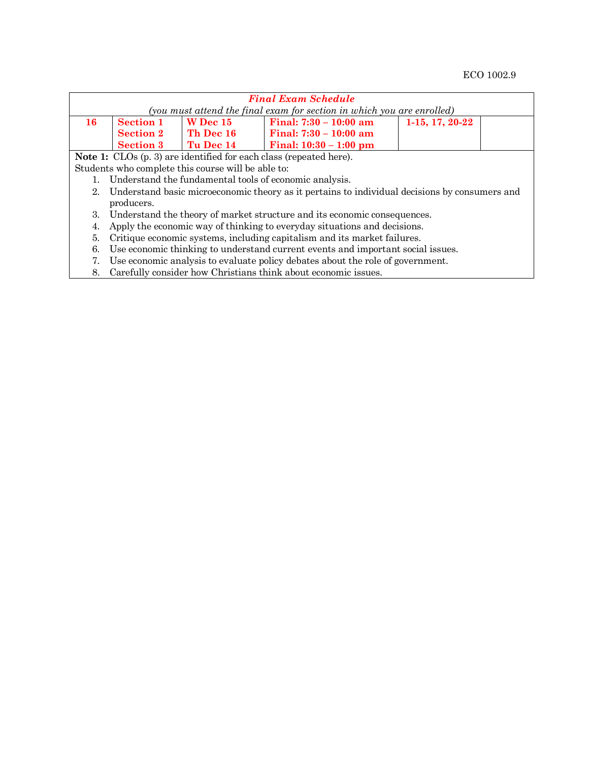| <b>Final Exam Schedule</b>                                             |                  |                                                                  |                                                                                               |  |  |  |  |  |  |  |
|------------------------------------------------------------------------|------------------|------------------------------------------------------------------|-----------------------------------------------------------------------------------------------|--|--|--|--|--|--|--|
| (you must attend the final exam for section in which you are enrolled) |                  |                                                                  |                                                                                               |  |  |  |  |  |  |  |
| 16                                                                     | <b>Section 1</b> | Final: $7:30 - 10:00$ am<br><b>W</b> Dec 15<br>$1-15, 17, 20-22$ |                                                                                               |  |  |  |  |  |  |  |
|                                                                        | <b>Section 2</b> | Th Dec 16                                                        | Final: $7:30 - 10:00$ am                                                                      |  |  |  |  |  |  |  |
|                                                                        | <b>Section 3</b> | Tu Dec 14                                                        | Final: $10:30 - 1:00$ pm                                                                      |  |  |  |  |  |  |  |
|                                                                        |                  |                                                                  | <b>Note 1:</b> CLOs (p. 3) are identified for each class (repeated here).                     |  |  |  |  |  |  |  |
|                                                                        |                  | Students who complete this course will be able to:               |                                                                                               |  |  |  |  |  |  |  |
|                                                                        |                  |                                                                  | Understand the fundamental tools of economic analysis.                                        |  |  |  |  |  |  |  |
| 2.                                                                     |                  |                                                                  | Understand basic microeconomic theory as it pertains to individual decisions by consumers and |  |  |  |  |  |  |  |
|                                                                        | producers.       |                                                                  |                                                                                               |  |  |  |  |  |  |  |
| 3.                                                                     |                  |                                                                  | Understand the theory of market structure and its economic consequences.                      |  |  |  |  |  |  |  |
| 4.                                                                     |                  |                                                                  | Apply the economic way of thinking to everyday situations and decisions.                      |  |  |  |  |  |  |  |
| 5.                                                                     |                  |                                                                  | Critique economic systems, including capitalism and its market failures.                      |  |  |  |  |  |  |  |
| 6.                                                                     |                  |                                                                  | Use economic thinking to understand current events and important social issues.               |  |  |  |  |  |  |  |
| 7.                                                                     |                  |                                                                  | Use economic analysis to evaluate policy debates about the role of government.                |  |  |  |  |  |  |  |
| 8.                                                                     |                  |                                                                  | Carefully consider how Christians think about economic issues.                                |  |  |  |  |  |  |  |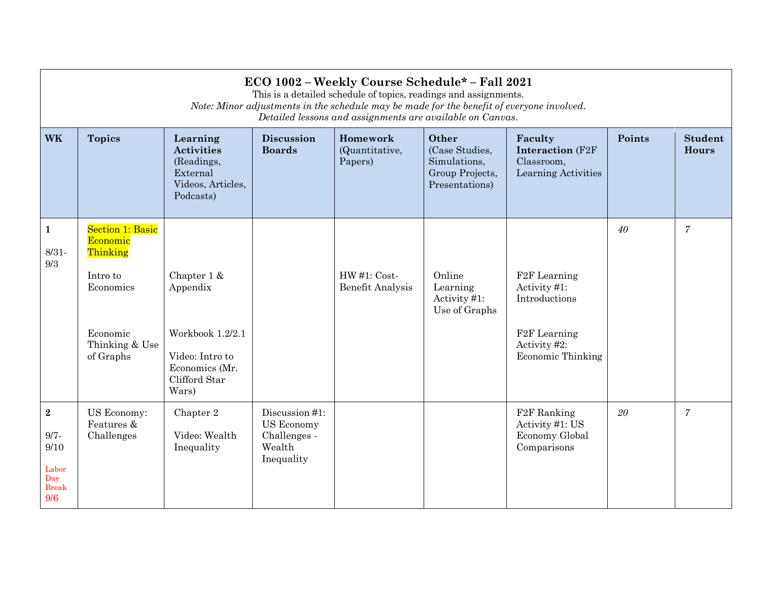|                                                                          | ECO 1002 - Weekly Course Schedule* - Fall 2021<br>This is a detailed schedule of topics, readings and assignments.<br>Note: Minor adjustments in the schedule may be made for the benefit of everyone involved.<br>Detailed lessons and assignments are available on Canvas. |                                                                                                            |                                                                             |                                          |                                                                              |                                                                                                                              |        |                                |  |  |
|--------------------------------------------------------------------------|------------------------------------------------------------------------------------------------------------------------------------------------------------------------------------------------------------------------------------------------------------------------------|------------------------------------------------------------------------------------------------------------|-----------------------------------------------------------------------------|------------------------------------------|------------------------------------------------------------------------------|------------------------------------------------------------------------------------------------------------------------------|--------|--------------------------------|--|--|
| <b>WK</b>                                                                | <b>Topics</b>                                                                                                                                                                                                                                                                | Learning<br><b>Activities</b><br>(Readings,<br>External<br>Videos, Articles,<br>Podcasts)                  | <b>Discussion</b><br><b>Boards</b>                                          | Homework<br>(Quantitative,<br>Papers)    | Other<br>(Case Studies,<br>Simulations,<br>Group Projects,<br>Presentations) | Faculty<br><b>Interaction (F2F)</b><br>Classroom,<br>Learning Activities                                                     | Points | <b>Student</b><br><b>Hours</b> |  |  |
| $\mathbf{1}$<br>$8/31 -$<br>9/3                                          | <b>Section 1: Basic</b><br>Economic<br>Thinking<br>Intro to<br>Economics<br>Economic<br>Thinking & Use<br>of Graphs                                                                                                                                                          | Chapter 1 &<br>Appendix<br>Workbook 1.2/2.1<br>Video: Intro to<br>Economics (Mr.<br>Clifford Star<br>Wars) |                                                                             | $HW#1: Cost-$<br><b>Benefit Analysis</b> | Online<br>Learning<br>Activity #1:<br>Use of Graphs                          | F <sub>2</sub> F Learning<br>Activity #1:<br>Introductions<br>F <sub>2</sub> F Learning<br>Activity #2:<br>Economic Thinking | 40     | $\overline{7}$                 |  |  |
| $\overline{2}$<br>$9/7 -$<br>9/10<br>Labor<br>Day<br><b>Break</b><br>9/6 | US Economy:<br>Features &<br>Challenges                                                                                                                                                                                                                                      | Chapter 2<br>Video: Wealth<br>Inequality                                                                   | Discussion #1:<br><b>US Economy</b><br>Challenges -<br>Wealth<br>Inequality |                                          |                                                                              | F <sub>2</sub> F Ranking<br>Activity #1: US<br>Economy Global<br>Comparisons                                                 | 20     | $\overline{7}$                 |  |  |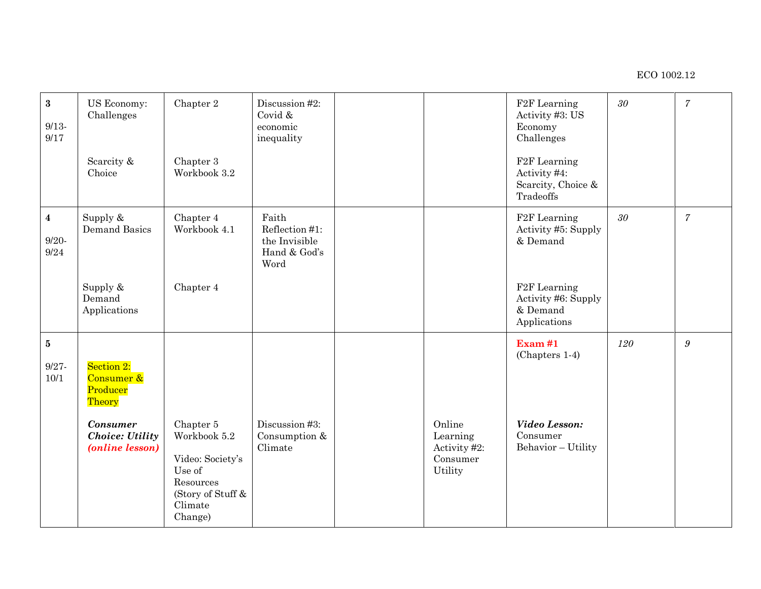| $\bf 3$<br>$9/13-$<br>$9/17$                | US Economy:<br>Challenges<br>Scarcity &<br>Choice                                                              | Chapter 2<br>Chapter 3<br>Workbook 3.2                                                                          | Discussion #2:<br>Covid &<br>economic<br>inequality              |                                                           | F <sub>2</sub> F Learning<br>Activity #3: US<br>Economy<br>Challenges<br>F <sub>2</sub> F Learning<br>Activity #4:<br>Scarcity, Choice &<br>Tradeoffs | $30\,$ | $\overline{7}$   |
|---------------------------------------------|----------------------------------------------------------------------------------------------------------------|-----------------------------------------------------------------------------------------------------------------|------------------------------------------------------------------|-----------------------------------------------------------|-------------------------------------------------------------------------------------------------------------------------------------------------------|--------|------------------|
| $\overline{\mathbf{4}}$<br>$9/20 -$<br>9/24 | Supply $\&$<br><b>Demand Basics</b>                                                                            | Chapter 4<br>Workbook 4.1                                                                                       | Faith<br>Reflection #1:<br>the Invisible<br>Hand & God's<br>Word |                                                           | F <sub>2</sub> F Learning<br>Activity #5: Supply<br>& Demand                                                                                          | $30\,$ | $\overline{7}$   |
|                                             | Supply &<br>Demand<br>Applications                                                                             | Chapter 4                                                                                                       |                                                                  |                                                           | F <sub>2</sub> F Learning<br>Activity #6: Supply<br>& Demand<br>Applications                                                                          |        |                  |
| ${\bf 5}$<br>$9/27 -$<br>10/1               | Section 2:<br>Consumer &<br>Producer<br>Theory<br><b>Consumer</b><br><b>Choice: Utility</b><br>(online lesson) | Chapter 5<br>Workbook 5.2<br>Video: Society's<br>Use of<br>Resources<br>(Story of Stuff &<br>Climate<br>Change) | Discussion #3:<br>Consumption &<br>Climate                       | Online<br>Learning<br>Activity #2:<br>Consumer<br>Utility | $\operatorname{Exam}$ #1<br>(Chapters 1-4)<br>Video Lesson:<br>Consumer<br>Behavior - Utility                                                         | 120    | $\boldsymbol{g}$ |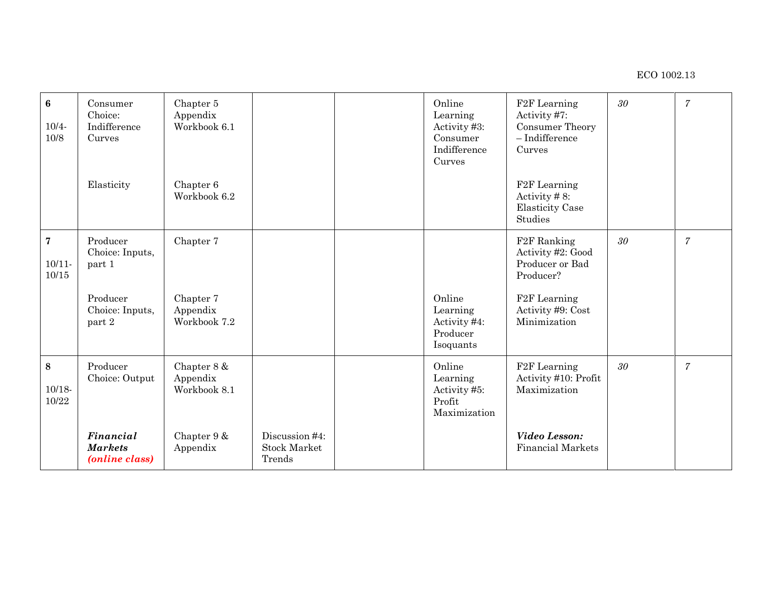| $6\phantom{a}$<br>$10/4 -$<br>10/8   | Consumer<br>Choice:<br>Indifference<br>Curves<br>Elasticity                        | Chapter 5<br>Appendix<br>Workbook 6.1<br>Chapter 6<br>Workbook 6.2 |                                                 | Online<br>Learning<br>Activity #3:<br>Consumer<br>Indifference<br>Curves | F <sub>2</sub> F Learning<br>Activity #7:<br>Consumer Theory<br>$-$ Indifference<br>Curves<br>F <sub>2</sub> F Learning<br>Activity $# 8$ :<br><b>Elasticity Case</b><br>Studies | 30     | $\overline{7}$ |
|--------------------------------------|------------------------------------------------------------------------------------|--------------------------------------------------------------------|-------------------------------------------------|--------------------------------------------------------------------------|----------------------------------------------------------------------------------------------------------------------------------------------------------------------------------|--------|----------------|
| $\overline{7}$<br>$10/11 -$<br>10/15 | Producer<br>Choice: Inputs,<br>part 1<br>Producer<br>Choice: Inputs,<br>part 2     | Chapter 7<br>Chapter 7<br>Appendix<br>Workbook 7.2                 |                                                 | Online<br>Learning<br>Activity #4:<br>Producer<br>Isoquants              | F <sub>2</sub> F Ranking<br>Activity #2: Good<br>Producer or Bad<br>Producer?<br>F <sub>2</sub> F Learning<br>Activity #9: Cost<br>Minimization                                  | $30\,$ | $\overline{7}$ |
| 8<br>$10/18 -$<br>10/22              | Producer<br>Choice: Output<br><b>Financial</b><br><b>Markets</b><br>(online class) | Chapter 8 &<br>Appendix<br>Workbook 8.1<br>Chapter 9 &<br>Appendix | Discussion #4:<br><b>Stock Market</b><br>Trends | Online<br>Learning<br>Activity #5:<br>Profit<br>Maximization             | F <sub>2</sub> F Learning<br>Activity #10: Profit<br>Maximization<br>Video Lesson:<br><b>Financial Markets</b>                                                                   | 30     | $\overline{7}$ |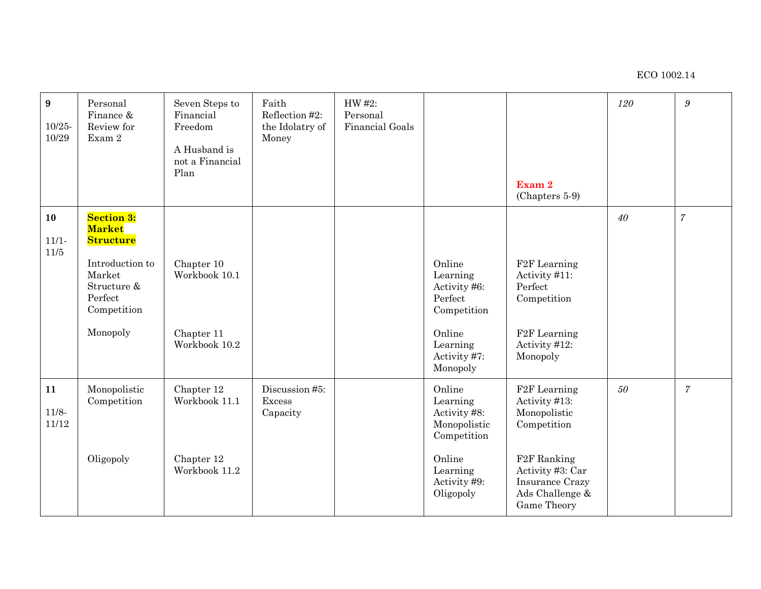| $\boldsymbol{9}$<br>$10/25 -$<br>10/29 | Personal<br>Finance &<br>Review for<br>Exam 2                                                                                            | Seven Steps to<br>Financial<br>Freedom<br>A Husband is<br>not a Financial<br>Plan | Faith<br>Reflection #2:<br>the Idolatry of<br>Money | HW #2:<br>Personal<br><b>Financial Goals</b> |                                                                                                                      | Exam 2<br>(Chapters 5-9)                                                                                                                                                              | 120 | $\boldsymbol{9}$ |
|----------------------------------------|------------------------------------------------------------------------------------------------------------------------------------------|-----------------------------------------------------------------------------------|-----------------------------------------------------|----------------------------------------------|----------------------------------------------------------------------------------------------------------------------|---------------------------------------------------------------------------------------------------------------------------------------------------------------------------------------|-----|------------------|
| 10<br>$11/1-$<br>11/5                  | <b>Section 3:</b><br><b>Market</b><br><b>Structure</b><br>Introduction to<br>Market<br>Structure &<br>Perfect<br>Competition<br>Monopoly | Chapter 10<br>Workbook 10.1<br>Chapter 11<br>Workbook 10.2                        |                                                     |                                              | Online<br>Learning<br>Activity #6:<br>Perfect<br>Competition<br>Online<br>Learning<br>Activity #7:<br>Monopoly       | F <sub>2</sub> F Learning<br>Activity #11:<br>Perfect<br>Competition<br>F <sub>2</sub> F Learning<br>Activity #12:<br>Monopoly                                                        | 40  | $\overline{7}$   |
| 11<br>$11/8-$<br>11/12                 | Monopolistic<br>Competition<br>Oligopoly                                                                                                 | Chapter 12<br>Workbook 11.1<br>Chapter 12<br>Workbook 11.2                        | Discussion #5:<br>Excess<br>Capacity                |                                              | Online<br>Learning<br>Activity #8:<br>Monopolistic<br>Competition<br>Online<br>Learning<br>Activity #9:<br>Oligopoly | F <sub>2</sub> F Learning<br>Activity #13:<br>Monopolistic<br>Competition<br>F <sub>2</sub> F Ranking<br>Activity #3: Car<br><b>Insurance Crazy</b><br>Ads Challenge &<br>Game Theory | 50  | $\boldsymbol{7}$ |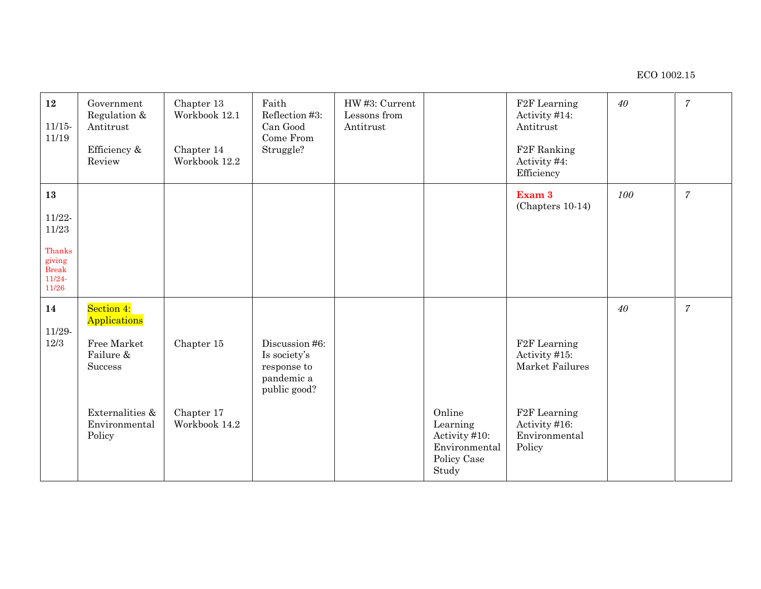| 12<br>11/15<br>11/19                                                              | Government<br>Regulation &<br>Antitrust<br>Efficiency &<br>Review | Chapter 13<br>Workbook 12.1<br>Chapter 14<br>Workbook 12.2 | Faith<br>Reflection #3:<br>Can Good<br>Come From<br>Struggle?                                                     | HW #3: Current<br>Lessons from<br>Antitrust |                                                                              | F <sub>2</sub> F Learning<br>Activity #14:<br>Antitrust<br>F <sub>2</sub> F Ranking<br>Activity #4:<br>Efficiency | 40  | $\overline{7}$ |
|-----------------------------------------------------------------------------------|-------------------------------------------------------------------|------------------------------------------------------------|-------------------------------------------------------------------------------------------------------------------|---------------------------------------------|------------------------------------------------------------------------------|-------------------------------------------------------------------------------------------------------------------|-----|----------------|
| 13<br>$11/22 -$<br>11/23<br>Thanks<br>giving<br><b>Break</b><br>$11/24-$<br>11/26 |                                                                   |                                                            |                                                                                                                   |                                             |                                                                              | Exam 3<br>(Chapters 10-14)                                                                                        | 100 | $\overline{7}$ |
| 14<br>11/29-<br>12/3                                                              | Section 4:<br>Applications<br>Free Market<br>Failure &<br>Success | Chapter 15                                                 | Discussion #6:<br>Is society's<br>$% \left\vert \mathcal{A}\right\vert$ response to<br>pandemic a<br>public good? |                                             |                                                                              | F <sub>2</sub> F Learning<br>Activity #15:<br>Market Failures                                                     | 40  | $\overline{7}$ |
|                                                                                   | Externalities &<br>Environmental<br>Policy                        | Chapter 17<br>Workbook 14.2                                |                                                                                                                   |                                             | Online<br>Learning<br>Activity #10:<br>Environmental<br>Policy Case<br>Study | F <sub>2</sub> F Learning<br>Activity #16:<br>Environmental<br>Policy                                             |     |                |